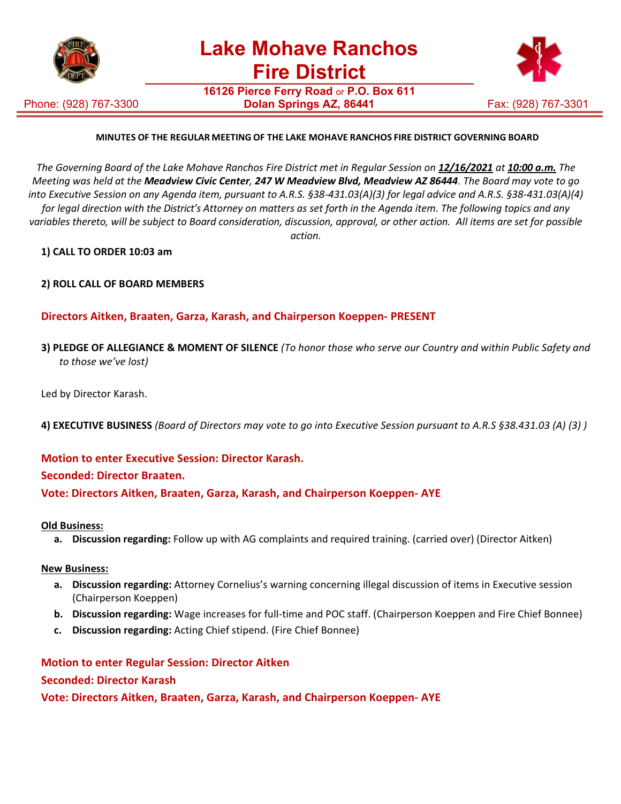

**16126 Pierce Ferry Road** or **P.O. Box 611**

Phone: (928) 767-3300



# **MINUTES OF THE REGULAR MEETING OF THE LAKE MOHAVE RANCHOS FIRE DISTRICT GOVERNING BOARD**

*The Governing Board of the Lake Mohave Ranchos Fire District met in Regular Session on 12/16/2021 at 10:00 a.m. The Meeting was held at the Meadview Civic Center, 247 W Meadview Blvd, Meadview AZ 86444*. *The Board may vote to go into Executive Session on any Agenda item, pursuant to A.R.S. §38-431.03(A)(3) for legal advice and A.R.S. §38-431.03(A)(4) for legal direction with the District's Attorney on matters as set forth in the Agenda item. The following topics and any variables thereto, will be subject to Board consideration, discussion, approval, or other action. All items are set for possible action.*

#### **1) CALL TO ORDER 10:03 am**

**2) ROLL CALL OF BOARD MEMBERS**

### **Directors Aitken, Braaten, Garza, Karash, and Chairperson Koeppen- PRESENT**

- **3) PLEDGE OF ALLEGIANCE & MOMENT OF SILENCE** *(To honor those who serve our Country and within Public Safety and to those we've lost)*
- Led by Director Karash.
- **4) EXECUTIVE BUSINESS** *(Board of Directors may vote to go into Executive Session pursuant to A.R.S §38.431.03 (A) (3) )*

#### **Motion to enter Executive Session: Director Karash.**

#### **Seconded: Director Braaten.**

**Vote: Directors Aitken, Braaten, Garza, Karash, and Chairperson Koeppen- AYE**

#### **Old Business:**

**a. Discussion regarding:** Follow up with AG complaints and required training. (carried over) (Director Aitken)

#### **New Business:**

- **a. Discussion regarding:** Attorney Cornelius's warning concerning illegal discussion of items in Executive session (Chairperson Koeppen)
- **b. Discussion regarding:** Wage increases for full-time and POC staff. (Chairperson Koeppen and Fire Chief Bonnee)
- **c. Discussion regarding:** Acting Chief stipend. (Fire Chief Bonnee)

# **Motion to enter Regular Session: Director Aitken**

### **Seconded: Director Karash**

**Vote: Directors Aitken, Braaten, Garza, Karash, and Chairperson Koeppen- AYE**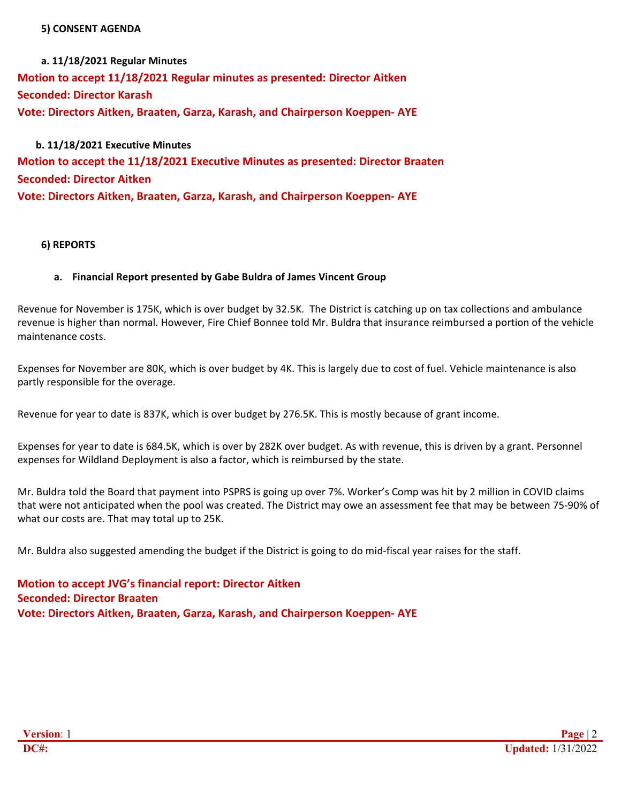#### **5) CONSENT AGENDA**

**a. 11/18/2021 Regular Minutes Motion to accept 11/18/2021 Regular minutes as presented: Director Aitken Seconded: Director Karash Vote: Directors Aitken, Braaten, Garza, Karash, and Chairperson Koeppen- AYE**

**b. 11/18/2021 Executive Minutes Motion to accept the 11/18/2021 Executive Minutes as presented: Director Braaten Seconded: Director Aitken Vote: Directors Aitken, Braaten, Garza, Karash, and Chairperson Koeppen- AYE**

### **6) REPORTS**

### **a. Financial Report presented by Gabe Buldra of James Vincent Group**

Revenue for November is 175K, which is over budget by 32.5K. The District is catching up on tax collections and ambulance revenue is higher than normal. However, Fire Chief Bonnee told Mr. Buldra that insurance reimbursed a portion of the vehicle maintenance costs.

Expenses for November are 80K, which is over budget by 4K. This is largely due to cost of fuel. Vehicle maintenance is also partly responsible for the overage.

Revenue for year to date is 837K, which is over budget by 276.5K. This is mostly because of grant income.

Expenses for year to date is 684.5K, which is over by 282K over budget. As with revenue, this is driven by a grant. Personnel expenses for Wildland Deployment is also a factor, which is reimbursed by the state.

Mr. Buldra told the Board that payment into PSPRS is going up over 7%. Worker's Comp was hit by 2 million in COVID claims that were not anticipated when the pool was created. The District may owe an assessment fee that may be between 75-90% of what our costs are. That may total up to 25K.

Mr. Buldra also suggested amending the budget if the District is going to do mid-fiscal year raises for the staff.

**Motion to accept JVG's financial report: Director Aitken Seconded: Director Braaten Vote: Directors Aitken, Braaten, Garza, Karash, and Chairperson Koeppen- AYE**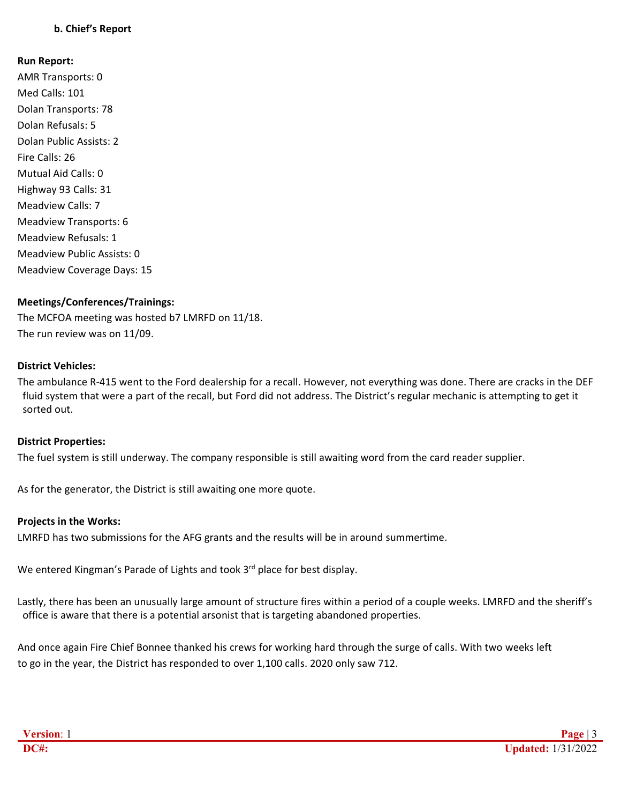# **b. Chief's Report**

#### **Run Report:**

AMR Transports: 0 Med Calls: 101 Dolan Transports: 78 Dolan Refusals: 5 Dolan Public Assists: 2 Fire Calls: 26 Mutual Aid Calls: 0 Highway 93 Calls: 31 Meadview Calls: 7 Meadview Transports: 6 Meadview Refusals: 1 Meadview Public Assists: 0 Meadview Coverage Days: 15

#### **Meetings/Conferences/Trainings:**

The MCFOA meeting was hosted b7 LMRFD on 11/18. The run review was on 11/09.

#### **District Vehicles:**

The ambulance R-415 went to the Ford dealership for a recall. However, not everything was done. There are cracks in the DEF fluid system that were a part of the recall, but Ford did not address. The District's regular mechanic is attempting to get it sorted out.

#### **District Properties:**

The fuel system is still underway. The company responsible is still awaiting word from the card reader supplier.

As for the generator, the District is still awaiting one more quote.

#### **Projects in the Works:**

LMRFD has two submissions for the AFG grants and the results will be in around summertime.

We entered Kingman's Parade of Lights and took 3<sup>rd</sup> place for best display.

Lastly, there has been an unusually large amount of structure fires within a period of a couple weeks. LMRFD and the sheriff's office is aware that there is a potential arsonist that is targeting abandoned properties.

And once again Fire Chief Bonnee thanked his crews for working hard through the surge of calls. With two weeks left to go in the year, the District has responded to over 1,100 calls. 2020 only saw 712.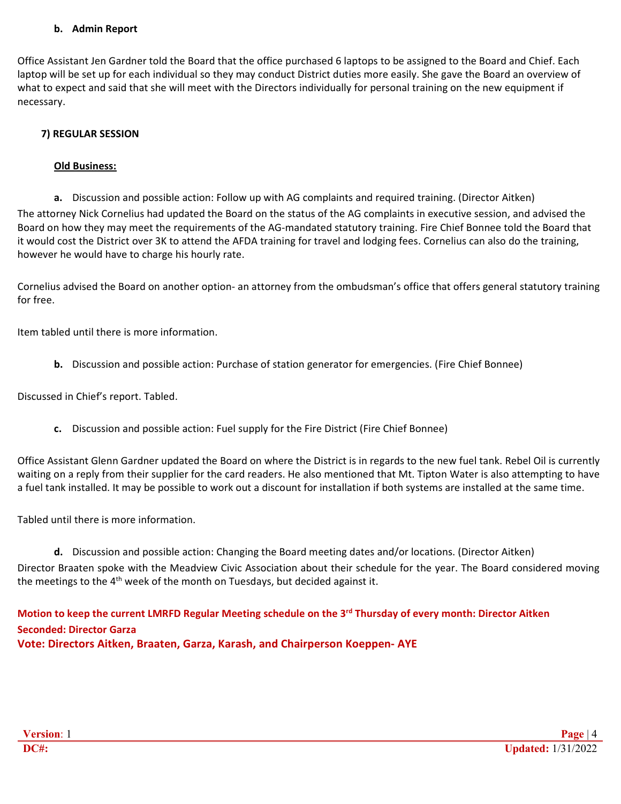### **b. Admin Report**

Office Assistant Jen Gardner told the Board that the office purchased 6 laptops to be assigned to the Board and Chief. Each laptop will be set up for each individual so they may conduct District duties more easily. She gave the Board an overview of what to expect and said that she will meet with the Directors individually for personal training on the new equipment if necessary.

## **7) REGULAR SESSION**

#### **Old Business:**

**a.** Discussion and possible action: Follow up with AG complaints and required training. (Director Aitken)

The attorney Nick Cornelius had updated the Board on the status of the AG complaints in executive session, and advised the Board on how they may meet the requirements of the AG-mandated statutory training. Fire Chief Bonnee told the Board that it would cost the District over 3K to attend the AFDA training for travel and lodging fees. Cornelius can also do the training, however he would have to charge his hourly rate.

Cornelius advised the Board on another option- an attorney from the ombudsman's office that offers general statutory training for free.

Item tabled until there is more information.

**b.** Discussion and possible action: Purchase of station generator for emergencies. (Fire Chief Bonnee)

Discussed in Chief's report. Tabled.

**c.** Discussion and possible action: Fuel supply for the Fire District (Fire Chief Bonnee)

Office Assistant Glenn Gardner updated the Board on where the District is in regards to the new fuel tank. Rebel Oil is currently waiting on a reply from their supplier for the card readers. He also mentioned that Mt. Tipton Water is also attempting to have a fuel tank installed. It may be possible to work out a discount for installation if both systems are installed at the same time.

Tabled until there is more information.

**d.** Discussion and possible action: Changing the Board meeting dates and/or locations. (Director Aitken) Director Braaten spoke with the Meadview Civic Association about their schedule for the year. The Board considered moving the meetings to the  $4<sup>th</sup>$  week of the month on Tuesdays, but decided against it.

# **Motion to keep the current LMRFD Regular Meeting schedule on the 3rd Thursday of every month: Director Aitken Seconded: Director Garza Vote: Directors Aitken, Braaten, Garza, Karash, and Chairperson Koeppen- AYE**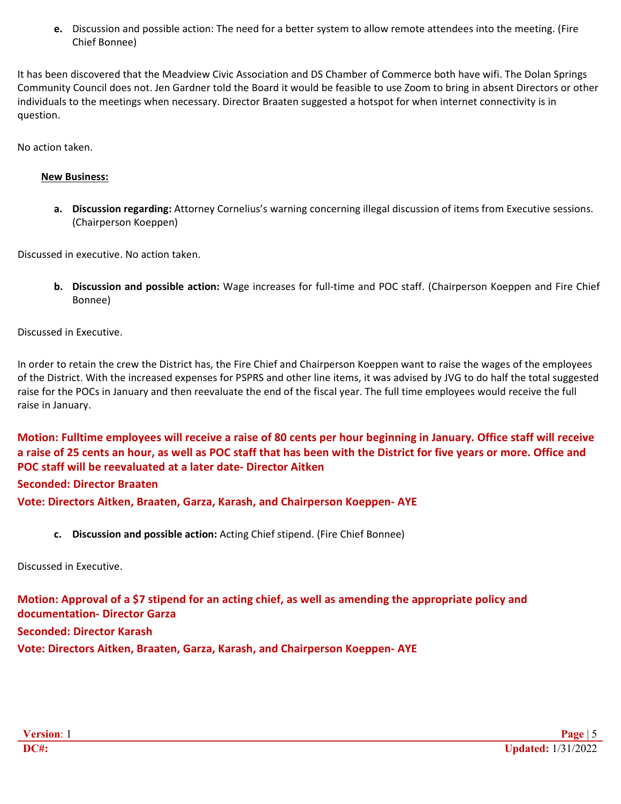**e.** Discussion and possible action: The need for a better system to allow remote attendees into the meeting. (Fire Chief Bonnee)

It has been discovered that the Meadview Civic Association and DS Chamber of Commerce both have wifi. The Dolan Springs Community Council does not. Jen Gardner told the Board it would be feasible to use Zoom to bring in absent Directors or other individuals to the meetings when necessary. Director Braaten suggested a hotspot for when internet connectivity is in question.

No action taken.

# **New Business:**

**a. Discussion regarding:** Attorney Cornelius's warning concerning illegal discussion of items from Executive sessions. (Chairperson Koeppen)

Discussed in executive. No action taken.

**b. Discussion and possible action:** Wage increases for full-time and POC staff. (Chairperson Koeppen and Fire Chief Bonnee)

Discussed in Executive.

In order to retain the crew the District has, the Fire Chief and Chairperson Koeppen want to raise the wages of the employees of the District. With the increased expenses for PSPRS and other line items, it was advised by JVG to do half the total suggested raise for the POCs in January and then reevaluate the end of the fiscal year. The full time employees would receive the full raise in January.

**Motion: Fulltime employees will receive a raise of 80 cents per hour beginning in January. Office staff will receive a raise of 25 cents an hour, as well as POC staff that has been with the District for five years or more. Office and POC staff will be reevaluated at a later date- Director Aitken Seconded: Director Braaten Vote: Directors Aitken, Braaten, Garza, Karash, and Chairperson Koeppen- AYE**

**c. Discussion and possible action:** Acting Chief stipend. (Fire Chief Bonnee)

Discussed in Executive.

**Motion: Approval of a \$7 stipend for an acting chief, as well as amending the appropriate policy and documentation- Director Garza Seconded: Director Karash Vote: Directors Aitken, Braaten, Garza, Karash, and Chairperson Koeppen- AYE**